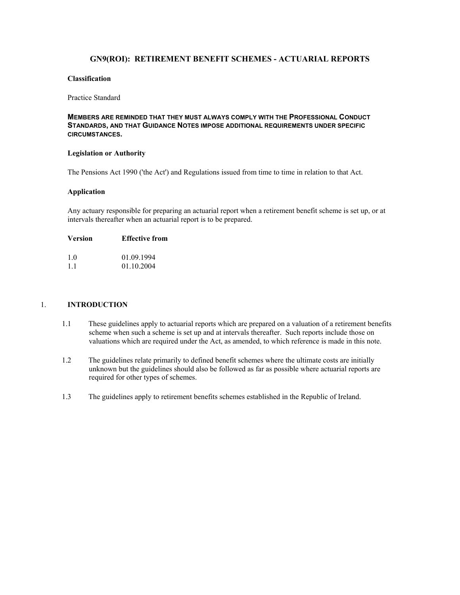# **GN9(ROI): RETIREMENT BENEFIT SCHEMES - ACTUARIAL REPORTS**

# **Classification**

#### Practice Standard

## **MEMBERS ARE REMINDED THAT THEY MUST ALWAYS COMPLY WITH THE PROFESSIONAL CONDUCT STANDARDS, AND THAT GUIDANCE NOTES IMPOSE ADDITIONAL REQUIREMENTS UNDER SPECIFIC CIRCUMSTANCES.**

### **Legislation or Authority**

The Pensions Act 1990 ('the Act') and Regulations issued from time to time in relation to that Act.

#### **Application**

Any actuary responsible for preparing an actuarial report when a retirement benefit scheme is set up, or at intervals thereafter when an actuarial report is to be prepared.

#### **Version Effective from**

| 1.0 | 01.09.1994 |
|-----|------------|
| 1.1 | 01.10.2004 |

## 1. **INTRODUCTION**

- 1.1 These guidelines apply to actuarial reports which are prepared on a valuation of a retirement benefits scheme when such a scheme is set up and at intervals thereafter. Such reports include those on valuations which are required under the Act, as amended, to which reference is made in this note.
- 1.2 The guidelines relate primarily to defined benefit schemes where the ultimate costs are initially unknown but the guidelines should also be followed as far as possible where actuarial reports are required for other types of schemes.
- 1.3 The guidelines apply to retirement benefits schemes established in the Republic of Ireland.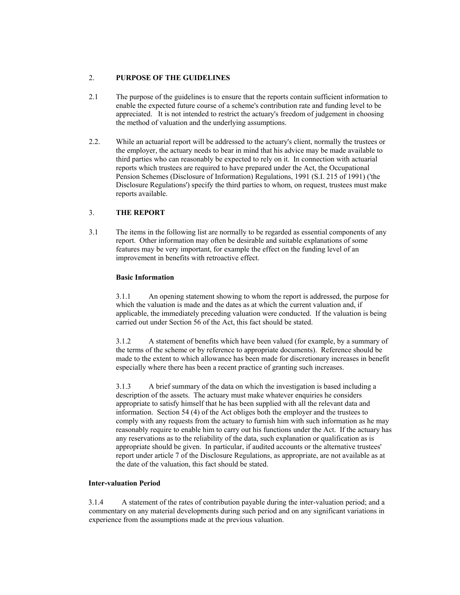## 2. **PURPOSE OF THE GUIDELINES**

- 2.1 The purpose of the guidelines is to ensure that the reports contain sufficient information to enable the expected future course of a scheme's contribution rate and funding level to be appreciated. It is not intended to restrict the actuary's freedom of judgement in choosing the method of valuation and the underlying assumptions.
- 2.2. While an actuarial report will be addressed to the actuary's client, normally the trustees or the employer, the actuary needs to bear in mind that his advice may be made available to third parties who can reasonably be expected to rely on it. In connection with actuarial reports which trustees are required to have prepared under the Act, the Occupational Pension Schemes (Disclosure of Information) Regulations, 1991 (S.I. 215 of 1991) ('the Disclosure Regulations') specify the third parties to whom, on request, trustees must make reports available.

# 3. **THE REPORT**

3.1 The items in the following list are normally to be regarded as essential components of any report. Other information may often be desirable and suitable explanations of some features may be very important, for example the effect on the funding level of an improvement in benefits with retroactive effect.

# **Basic Information**

 3.1.1 An opening statement showing to whom the report is addressed, the purpose for which the valuation is made and the dates as at which the current valuation and, if applicable, the immediately preceding valuation were conducted. If the valuation is being carried out under Section 56 of the Act, this fact should be stated.

 3.1.2 A statement of benefits which have been valued (for example, by a summary of the terms of the scheme or by reference to appropriate documents). Reference should be made to the extent to which allowance has been made for discretionary increases in benefit especially where there has been a recent practice of granting such increases.

3.1.3 A brief summary of the data on which the investigation is based including a description of the assets. The actuary must make whatever enquiries he considers appropriate to satisfy himself that he has been supplied with all the relevant data and information. Section 54 (4) of the Act obliges both the employer and the trustees to comply with any requests from the actuary to furnish him with such information as he may reasonably require to enable him to carry out his functions under the Act. If the actuary has any reservations as to the reliability of the data, such explanation or qualification as is appropriate should be given. In particular, if audited accounts or the alternative trustees' report under article 7 of the Disclosure Regulations, as appropriate, are not available as at the date of the valuation, this fact should be stated.

### **Inter-valuation Period**

 3.1.4 A statement of the rates of contribution payable during the inter-valuation period; and a commentary on any material developments during such period and on any significant variations in experience from the assumptions made at the previous valuation.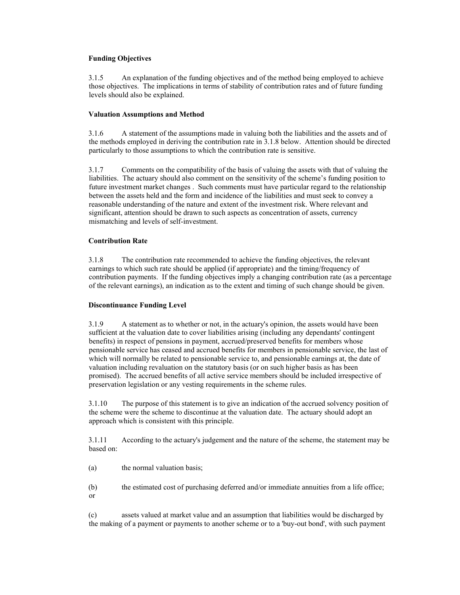# **Funding Objectives**

 3.1.5 An explanation of the funding objectives and of the method being employed to achieve those objectives. The implications in terms of stability of contribution rates and of future funding levels should also be explained.

## **Valuation Assumptions and Method**

 3.1.6 A statement of the assumptions made in valuing both the liabilities and the assets and of the methods employed in deriving the contribution rate in 3.1.8 below. Attention should be directed particularly to those assumptions to which the contribution rate is sensitive.

 3.1.7 Comments on the compatibility of the basis of valuing the assets with that of valuing the liabilities. The actuary should also comment on the sensitivity of the scheme's funding position to future investment market changes . Such comments must have particular regard to the relationship between the assets held and the form and incidence of the liabilities and must seek to convey a reasonable understanding of the nature and extent of the investment risk. Where relevant and significant, attention should be drawn to such aspects as concentration of assets, currency mismatching and levels of self-investment.

## **Contribution Rate**

 3.1.8 The contribution rate recommended to achieve the funding objectives, the relevant earnings to which such rate should be applied (if appropriate) and the timing/frequency of contribution payments. If the funding objectives imply a changing contribution rate (as a percentage of the relevant earnings), an indication as to the extent and timing of such change should be given.

### **Discontinuance Funding Level**

 3.1.9 A statement as to whether or not, in the actuary's opinion, the assets would have been sufficient at the valuation date to cover liabilities arising (including any dependants' contingent benefits) in respect of pensions in payment, accrued/preserved benefits for members whose pensionable service has ceased and accrued benefits for members in pensionable service, the last of which will normally be related to pensionable service to, and pensionable earnings at, the date of valuation including revaluation on the statutory basis (or on such higher basis as has been promised). The accrued benefits of all active service members should be included irrespective of preservation legislation or any vesting requirements in the scheme rules.

 3.1.10 The purpose of this statement is to give an indication of the accrued solvency position of the scheme were the scheme to discontinue at the valuation date. The actuary should adopt an approach which is consistent with this principle.

 3.1.11 According to the actuary's judgement and the nature of the scheme, the statement may be based on:

(a) the normal valuation basis;

 (b) the estimated cost of purchasing deferred and/or immediate annuities from a life office; or

 (c) assets valued at market value and an assumption that liabilities would be discharged by the making of a payment or payments to another scheme or to a 'buy-out bond', with such payment